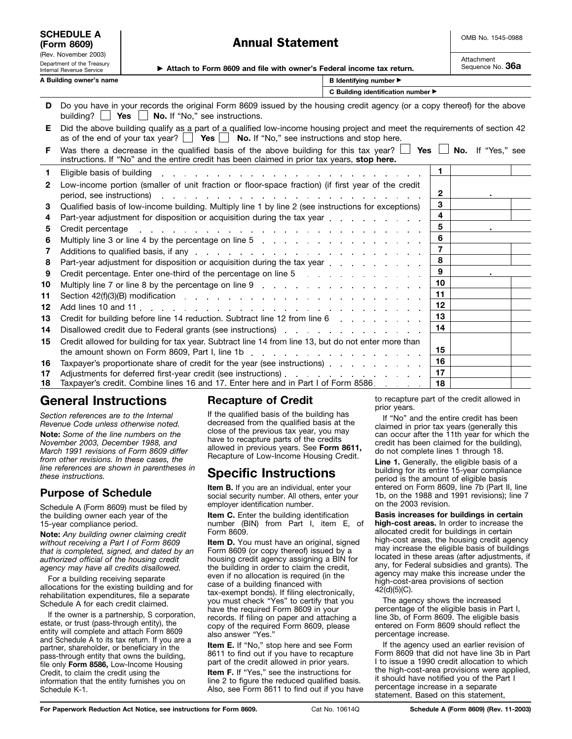| <b>SCHEDULE A</b><br>(Form 8609)                                               |                                                                                                                                                                                                                              | <b>Annual Statement</b>                                                                                                                                                                                                        |                                    | OMB No. 1545-0988              |  |  |
|--------------------------------------------------------------------------------|------------------------------------------------------------------------------------------------------------------------------------------------------------------------------------------------------------------------------|--------------------------------------------------------------------------------------------------------------------------------------------------------------------------------------------------------------------------------|------------------------------------|--------------------------------|--|--|
| (Rev. November 2003)<br>Department of the Treasury<br>Internal Revenue Service |                                                                                                                                                                                                                              | Attach to Form 8609 and file with owner's Federal income tax return.                                                                                                                                                           |                                    | Attachment<br>Sequence No. 36a |  |  |
| A Building owner's name<br><b>B</b> Identifying number ▶                       |                                                                                                                                                                                                                              |                                                                                                                                                                                                                                |                                    |                                |  |  |
|                                                                                |                                                                                                                                                                                                                              |                                                                                                                                                                                                                                | C Building identification number ▶ |                                |  |  |
| D                                                                              | building? $\Box$                                                                                                                                                                                                             | Do you have in your records the original Form 8609 issued by the housing credit agency (or a copy thereof) for the above<br><b>Yes</b> $\Box$ <b>No.</b> If "No," see instructions.                                            |                                    |                                |  |  |
| Е.                                                                             | Did the above building qualify as a part of a qualified low-income housing project and meet the requirements of section 42<br>as of the end of your tax year? $\Box$ Yes $\Box$ No. If "No," see instructions and stop here. |                                                                                                                                                                                                                                |                                    |                                |  |  |
| F.                                                                             |                                                                                                                                                                                                                              | Was there a decrease in the qualified basis of the above building for this tax year? $\Box$ Yes $\Box$ No. If "Yes," see<br>instructions. If "No" and the entire credit has been claimed in prior tax years, stop here.        |                                    |                                |  |  |
| 1                                                                              | Eligible basis of building                                                                                                                                                                                                   | and the company of the company of the company of the company of the company of the company of the company of the company of the company of the company of the company of the company of the company of the company of the comp |                                    | 1                              |  |  |
| $\mathbf{2}$                                                                   | period, see instructions)                                                                                                                                                                                                    | Low-income portion (smaller of unit fraction or floor-space fraction) (if first year of the credit                                                                                                                             |                                    | 2                              |  |  |
| 3                                                                              |                                                                                                                                                                                                                              | Qualified basis of low-income building. Multiply line 1 by line 2 (see instructions for exceptions)                                                                                                                            |                                    | 3                              |  |  |
| 4                                                                              |                                                                                                                                                                                                                              | Part-year adjustment for disposition or acquisition during the tax year entitled and containing part of the part                                                                                                               |                                    | 4                              |  |  |
| 5                                                                              | Credit percentage                                                                                                                                                                                                            | and a series of the contract of the contract of the contract of the contract of the contract of                                                                                                                                |                                    | 5                              |  |  |
| 6                                                                              |                                                                                                                                                                                                                              | Multiply line 3 or line 4 by the percentage on line 5 and a contact of the state of the South in the South Politics                                                                                                            |                                    | 6                              |  |  |
| 7                                                                              |                                                                                                                                                                                                                              | Additions to qualified basis, if any entertainment of the state of the state of the state of the state of the state of the state of the state of the state of the state of the state of the state of the state of the state of |                                    | $\overline{7}$                 |  |  |
| 8                                                                              |                                                                                                                                                                                                                              | Part-year adjustment for disposition or acquisition during the tax year                                                                                                                                                        |                                    | 8                              |  |  |
| 9                                                                              |                                                                                                                                                                                                                              | Credit percentage. Enter one-third of the percentage on line 5 and a contract of the percentage on $\mathbb{R}$                                                                                                                |                                    | 9                              |  |  |
| 10                                                                             |                                                                                                                                                                                                                              |                                                                                                                                                                                                                                |                                    | 10                             |  |  |
| 11                                                                             |                                                                                                                                                                                                                              |                                                                                                                                                                                                                                |                                    | 11                             |  |  |
| 12                                                                             |                                                                                                                                                                                                                              |                                                                                                                                                                                                                                |                                    | 12                             |  |  |
| 13                                                                             |                                                                                                                                                                                                                              | Credit for building before line 14 reduction. Subtract line 12 from line 6 [11] Credit for building before line 14 reduction. Subtract line 12 from line 6                                                                     |                                    | 13                             |  |  |
| 14                                                                             |                                                                                                                                                                                                                              | Disallowed credit due to Federal grants (see instructions) entitled and some contact the control of the Disable                                                                                                                |                                    | 14                             |  |  |
| 15                                                                             |                                                                                                                                                                                                                              | Credit allowed for building for tax year. Subtract line 14 from line 13, but do not enter more than                                                                                                                            |                                    |                                |  |  |
|                                                                                |                                                                                                                                                                                                                              |                                                                                                                                                                                                                                |                                    | 15                             |  |  |
| 16                                                                             |                                                                                                                                                                                                                              | Taxpayer's proportionate share of credit for the year (see instructions)                                                                                                                                                       |                                    | 16                             |  |  |
| 17                                                                             |                                                                                                                                                                                                                              |                                                                                                                                                                                                                                |                                    | 17                             |  |  |
| 18                                                                             |                                                                                                                                                                                                                              | Taxpayer's credit. Combine lines 16 and 17. Enter here and in Part I of Form 8586.                                                                                                                                             |                                    | 18                             |  |  |

## **General Instructions**

*Section references are to the Internal Revenue Code unless otherwise noted.* **Note:** *Some of the line numbers on the November 2003, December 1988, and March 1991 revisions of Form 8609 differ from other revisions. In these cases, the line references are shown in parentheses in these instructions.*

#### **Purpose of Schedule**

Schedule A (Form 8609) must be filed by the building owner each year of the 15-year compliance period.

**Note:** *Any building owner claiming credit without receiving a Part I of Form 8609 that is completed, signed, and dated by an authorized official of the housing credit agency may have all credits disallowed.*

For a building receiving separate allocations for the existing building and for rehabilitation expenditures, file a separate Schedule A for each credit claimed.

If the owner is a partnership, S corporation, estate, or trust (pass-through entity), the entity will complete and attach Form 8609 and Schedule A to its tax return. If you are a partner, shareholder, or beneficiary in the pass-through entity that owns the building, file only **Form 8586,** Low-Income Housing Credit, to claim the credit using the information that the entity furnishes you on Schedule K-1.

### **Recapture of Credit**

If the qualified basis of the building has decreased from the qualified basis at the close of the previous tax year, you may have to recapture parts of the credits allowed in previous years. See **Form 8611,** Recapture of Low-Income Housing Credit.

# **Specific Instructions**

**Item B.** If you are an individual, enter your social security number. All others, enter your employer identification number.

**Item C.** Enter the building identification number (BIN) from Part I, item E, of Form 8609.

**Item D.** You must have an original, signed Form 8609 (or copy thereof) issued by a housing credit agency assigning a BIN for the building in order to claim the credit, even if no allocation is required (in the case of a building financed with tax-exempt bonds). If filing electronically, you must check "Yes" to certify that you have the required Form 8609 in your records. If filing on paper and attaching a copy of the required Form 8609, please also answer "Yes."

**Item E.** If "No," stop here and see Form 8611 to find out if you have to recapture part of the credit allowed in prior years. **Item F.** If "Yes," see the instructions for line 2 to figure the reduced qualified basis. Also, see Form 8611 to find out if you have

to recapture part of the credit allowed in prior years.

If "No" and the entire credit has been claimed in prior tax years (generally this can occur after the 11th year for which the credit has been claimed for the building), do not complete lines 1 through 18.

Line 1. Generally, the eligible basis of a building for its entire 15-year compliance period is the amount of eligible basis entered on Form 8609, line 7b (Part II, line 1b, on the 1988 and 1991 revisions); line 7 on the 2003 revision.

**Basis increases for buildings in certain high-cost areas.** In order to increase the allocated credit for buildings in certain high-cost areas, the housing credit agency may increase the eligible basis of buildings located in these areas (after adjustments, if any, for Federal subsidies and grants). The agency may make this increase under the high-cost-area provisions of section 42(d)(5)(C).

The agency shows the increased percentage of the eligible basis in Part I, line 3b, of Form 8609. The eligible basis entered on Form 8609 should reflect the percentage increase.

If the agency used an earlier revision of Form 8609 that did not have line 3b in Part I to issue a 1990 credit allocation to which the high-cost-area provisions were applied, it should have notified you of the Part I percentage increase in a separate statement. Based on this statement,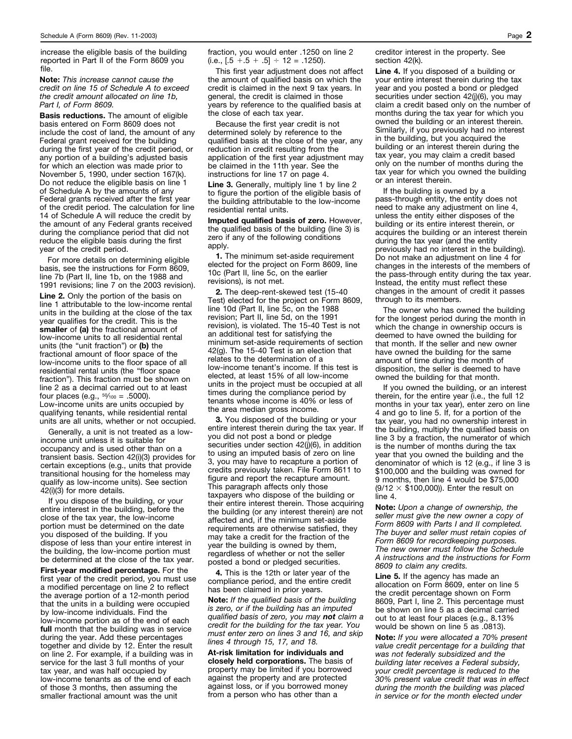increase the eligible basis of the building reported in Part II of the Form 8609 you file.

**Note:** *This increase cannot cause the credit on line 15 of Schedule A to exceed the credit amount allocated on line 1b, Part I, of Form 8609.*

**Basis reductions.** The amount of eligible basis entered on Form 8609 does not include the cost of land, the amount of any Federal grant received for the building during the first year of the credit period, or any portion of a building's adjusted basis for which an election was made prior to November 5, 1990, under section 167(k). Do not reduce the eligible basis on line 1 of Schedule A by the amounts of any Federal grants received after the first year of the credit period. The calculation for line 14 of Schedule A will reduce the credit by the amount of any Federal grants received during the compliance period that did not reduce the eligible basis during the first year of the credit period.

For more details on determining eligible basis, see the instructions for Form 8609, line 7b (Part II, line 1b, on the 1988 and 1991 revisions; line 7 on the 2003 revision).

**Line 2.** Only the portion of the basis on line 1 attributable to the low-income rental units in the building at the close of the tax year qualifies for the credit. This is the **smaller** of **(a)** the fractional amount of low-income units to all residential rental units (the "unit fraction") or **(b)** the fractional amount of floor space of the low-income units to the floor space of all residential rental units (the "floor space fraction"). This fraction must be shown on line 2 as a decimal carried out to at least four places (e.g.,  $5\frac{0}{100}$  = .5000). Low-income units are units occupied by qualifying tenants, while residential rental units are all units, whether or not occupied.

Generally, a unit is not treated as a lowincome unit unless it is suitable for occupancy and is used other than on a transient basis. Section 42(i)(3) provides for certain exceptions (e.g., units that provide transitional housing for the homeless may qualify as low-income units). See section 42(i)(3) for more details.

If you dispose of the building, or your entire interest in the building, before the close of the tax year, the low-income portion must be determined on the date you disposed of the building. If you dispose of less than your entire interest in the building, the low-income portion must be determined at the close of the tax year. **First-year modified percentage.** For the first year of the credit period, you must use a modified percentage on line 2 to reflect the average portion of a 12-month period that the units in a building were occupied by low-income individuals. Find the low-income portion as of the end of each **full** month that the building was in service during the year. Add these percentages together and divide by 12. Enter the result on line 2. For example, if a building was in service for the last 3 full months of your tax year, and was half occupied by low-income tenants as of the end of each of those 3 months, then assuming the smaller fractional amount was the unit

fraction, you would enter .1250 on line 2  $(i.e., [.5 + .5 + .5] \div 12 = .1250).$ 

This first year adjustment does not affect the amount of qualified basis on which the credit is claimed in the next 9 tax years. In general, the credit is claimed in those years by reference to the qualified basis at the close of each tax year.

Because the first year credit is not determined solely by reference to the qualified basis at the close of the year, any reduction in credit resulting from the application of the first year adjustment may be claimed in the 11th year. See the instructions for line 17 on page 4.

Line 3. Generally, multiply line 1 by line 2 to figure the portion of the eligible basis of the building attributable to the low-income residential rental units.

**Imputed qualified basis of zero.** However, the qualified basis of the building (line 3) is zero if any of the following conditions apply.

**1.** The minimum set-aside requirement elected for the project on Form 8609, line 10c (Part II, line 5c, on the earlier revisions), is not met.

**2.** The deep-rent-skewed test (15-40 Test) elected for the project on Form 8609, line 10d (Part II, line 5c, on the 1988 revision; Part II, line 5d, on the 1991 revision), is violated. The 15-40 Test is not an additional test for satisfying the minimum set-aside requirements of section 42(g). The 15-40 Test is an election that relates to the determination of a low-income tenant's income. If this test is elected, at least 15% of all low-income units in the project must be occupied at all times during the compliance period by tenants whose income is 40% or less of the area median gross income.

**3.** You disposed of the building or your entire interest therein during the tax year. If you did not post a bond or pledge securities under section 42(j)(6), in addition to using an imputed basis of zero on line 3, you may have to recapture a portion of credits previously taken. File Form 8611 to figure and report the recapture amount. This paragraph affects only those taxpayers who dispose of the building or their entire interest therein. Those acquiring the building (or any interest therein) are not affected and, if the minimum set-aside requirements are otherwise satisfied, they may take a credit for the fraction of the year the building is owned by them, regardless of whether or not the seller posted a bond or pledged securities.

**4.** This is the 12th or later year of the compliance period, and the entire credit has been claimed in prior years.

**Note:** *If the qualified basis of the building is zero, or if the building has an imputed qualified basis of zero, you may not claim a credit for the building for the tax year. You must enter zero on lines 3 and 16, and skip lines 4 through 15, 17, and 18.*

**At-risk limitation for individuals and closely held corporations.** The basis of property may be limited if you borrowed against the property and are protected against loss, or if you borrowed money from a person who has other than a

creditor interest in the property. See section 42(k).

**Line 4.** If you disposed of a building or your entire interest therein during the tax year and you posted a bond or pledged securities under section 42(j)(6), you may claim a credit based only on the number of months during the tax year for which you owned the building or an interest therein. Similarly, if you previously had no interest in the building, but you acquired the building or an interest therein during the tax year, you may claim a credit based only on the number of months during the tax year for which you owned the building or an interest therein.

If the building is owned by a pass-through entity, the entity does not need to make any adjustment on line 4, unless the entity either disposes of the building or its entire interest therein, or acquires the building or an interest therein during the tax year (and the entity previously had no interest in the building). Do not make an adjustment on line 4 for changes in the interests of the members of the pass-through entity during the tax year. Instead, the entity must reflect these changes in the amount of credit it passes through to its members.

The owner who has owned the building for the longest period during the month in which the change in ownership occurs is deemed to have owned the building for that month. If the seller and new owner have owned the building for the same amount of time during the month of disposition, the seller is deemed to have owned the building for that month.

If you owned the building, or an interest therein, for the entire year (i.e., the full 12 months in your tax year), enter zero on line 4 and go to line 5. If, for a portion of the tax year, you had no ownership interest in the building, multiply the qualified basis on line 3 by a fraction, the numerator of which is the number of months during the tax year that you owned the building and the denominator of which is 12 (e.g., if line 3 is \$100,000 and the building was owned for 9 months, then line 4 would be \$75,000  $(9/12 \times $100,000)$ . Enter the result on line 4.

**Note:** *Upon a change of ownership, the seller must give the new owner a copy of Form 8609 with Parts I and II completed. The buyer and seller must retain copies of Form 8609 for recordkeeping purposes. The new owner must follow the Schedule A instructions and the instructions for Form 8609 to claim any credits.*

**Line 5.** If the agency has made an allocation on Form 8609, enter on line 5 the credit percentage shown on Form 8609, Part I, line 2. This percentage must be shown on line 5 as a decimal carried out to at least four places (e.g., 8.13% would be shown on line 5 as .0813).

**Note:** *If you were allocated a 70% present value credit percentage for a building that was not federally subsidized and the building later receives a Federal subsidy, your credit percentage is reduced to the 30% present value credit that was in effect during the month the building was placed in service or for the month elected under*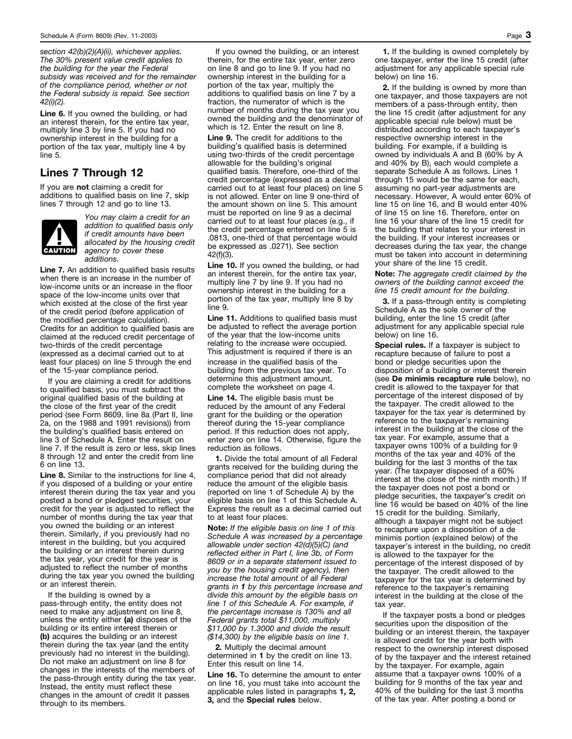*section 42(b)(2)(A)(ii), whichever applies. The 30% present value credit applies to the building for the year the Federal subsidy was received and for the remainder of the compliance period, whether or not the Federal subsidy is repaid. See section 42(i)(2).*

**Line 6.** If you owned the building, or had an interest therein, for the entire tax year, multiply line 3 by line 5. If you had no ownership interest in the building for a portion of the tax year, multiply line 4 by line 5.

#### **Lines 7 Through 12**

If you are **not** claiming a credit for additions to qualified basis on line 7, skip lines 7 through 12 and go to line 13.



*You may claim a credit for an addition to qualified basis only if credit amounts have been allocated by the housing credit agency to cover these additions.*

**Line 7.** An addition to qualified basis results when there is an increase in the number of low-income units or an increase in the floor space of the low-income units over that which existed at the close of the first year of the credit period (before application of the modified percentage calculation). Credits for an addition to qualified basis are claimed at the reduced credit percentage of two-thirds of the credit percentage (expressed as a decimal carried out to at least four places) on line 5 through the end of the 15-year compliance period.

If you are claiming a credit for additions to qualified basis, you must subtract the original qualified basis of the building at the close of the first year of the credit period (see Form 8609, line 8a (Part II, line 2a, on the 1988 and 1991 revisions)) from the building's qualified basis entered on line 3 of Schedule A. Enter the result on line 7. If the result is zero or less, skip lines 8 through 12 and enter the credit from line 6 on line 13.

**Line 8.** Similar to the instructions for line 4, if you disposed of a building or your entire interest therein during the tax year and you posted a bond or pledged securities, your credit for the year is adjusted to reflect the number of months during the tax year that you owned the building or an interest therein. Similarly, if you previously had no interest in the building, but you acquired the building or an interest therein during the tax year, your credit for the year is adjusted to reflect the number of months during the tax year you owned the building or an interest therein.

If the building is owned by a pass-through entity, the entity does not need to make any adjustment on line 8, unless the entity either **(a)** disposes of the building or its entire interest therein or **(b)** acquires the building or an interest therein during the tax year (and the entity previously had no interest in the building). Do not make an adjustment on line 8 for changes in the interests of the members of the pass-through entity during the tax year. Instead, the entity must reflect these changes in the amount of credit it passes through to its members.

If you owned the building, or an interest therein, for the entire tax year, enter zero on line 8 and go to line 9. If you had no ownership interest in the building for a portion of the tax year, multiply the additions to qualified basis on line 7 by a fraction, the numerator of which is the number of months during the tax year you owned the building and the denominator of which is 12. Enter the result on line 8.

**Line 9.** The credit for additions to the building's qualified basis is determined using two-thirds of the credit percentage allowable for the building's original qualified basis. Therefore, one-third of the credit percentage (expressed as a decimal carried out to at least four places) on line 5 is not allowed. Enter on line 9 one-third of the amount shown on line 5. This amount must be reported on line 9 as a decimal carried out to at least four places (e.g., if the credit percentage entered on line 5 is .0813, one-third of that percentage would be expressed as .0271). See section 42(f)(3).

Line 10. If you owned the building, or had an interest therein, for the entire tax year, multiply line 7 by line 9. If you had no ownership interest in the building for a portion of the tax year, multiply line 8 by line 9.

**Line 11.** Additions to qualified basis must be adjusted to reflect the average portion of the year that the low-income units relating to the increase were occupied. This adjustment is required if there is an

increase in the qualified basis of the building from the previous tax year. To determine this adjustment amount, complete the worksheet on page 4.

**Line 14.** The eligible basis must be reduced by the amount of any Federal grant for the building or the operation thereof during the 15-year compliance period. If this reduction does not apply, enter zero on line 14. Otherwise, figure the reduction as follows.

**1.** Divide the total amount of all Federal grants received for the building during the compliance period that did not already reduce the amount of the eligible basis (reported on line 1 of Schedule A) by the eligible basis on line 1 of this Schedule A. Express the result as a decimal carried out to at least four places.

**Note:** *If the eligible basis on line 1 of this Schedule A was increased by a percentage allowable under section 42(d)(5)(C) (and reflected either in Part I, line 3b, of Form 8609 or in a separate statement issued to you by the housing credit agency), then increase the total amount of all Federal grants in 1 by this percentage increase and divide this amount by the eligible basis on line 1 of this Schedule A. For example, if the percentage increase is 130% and all Federal grants total \$11,000, multiply \$11,000 by 1.3000 and divide the result (\$14,300) by the eligible basis on line 1.*

**2.** Multiply the decimal amount determined in **1** by the credit on line 13. Enter this result on line 14.

**Line 16.** To determine the amount to enter on line 16, you must take into account the applicable rules listed in paragraphs **1, 2, 3,** and the **Special rules** below.

**1.** If the building is owned completely by one taxpayer, enter the line 15 credit (after adjustment for any applicable special rule below) on line 16.

**2.** If the building is owned by more than one taxpayer, and those taxpayers are not members of a pass-through entity, then the line 15 credit (after adjustment for any applicable special rule below) must be distributed according to each taxpayer's respective ownership interest in the building. For example, if a building is owned by individuals A and B (60% by A and 40% by B), each would complete a separate Schedule A as follows. Lines 1 through 15 would be the same for each, assuming no part-year adjustments are necessary. However, A would enter 60% of line 15 on line 16, and B would enter 40% of line 15 on line 16. Therefore, enter on line 16 your share of the line 15 credit for the building that relates to your interest in the building. If your interest increases or decreases during the tax year, the change must be taken into account in determining your share of the line 15 credit.

**Note:** *The aggregate credit claimed by the owners of the building cannot exceed the line 15 credit amount for the building.*

**3.** If a pass-through entity is completing Schedule A as the sole owner of the building, enter the line 15 credit (after adjustment for any applicable special rule below) on line 16.

**Special rules.** If a taxpayer is subject to recapture because of failure to post a bond or pledge securities upon the disposition of a building or interest therein (see **De minimis recapture rule** below), no credit is allowed to the taxpayer for that percentage of the interest disposed of by the taxpayer. The credit allowed to the taxpayer for the tax year is determined by reference to the taxpayer's remaining interest in the building at the close of the tax year. For example, assume that a taxpayer owns 100% of a building for 9 months of the tax year and 40% of the building for the last 3 months of the tax year. (The taxpayer disposed of a 60% interest at the close of the ninth month.) If the taxpayer does not post a bond or pledge securities, the taxpayer's credit on line 16 would be based on 40% of the line 15 credit for the building. Similarly, although a taxpayer might not be subject to recapture upon a disposition of a de minimis portion (explained below) of the taxpayer's interest in the building, no credit is allowed to the taxpayer for the percentage of the interest disposed of by the taxpayer. The credit allowed to the taxpayer for the tax year is determined by reference to the taxpayer's remaining interest in the building at the close of the tax year.

If the taxpayer posts a bond or pledges securities upon the disposition of the building or an interest therein, the taxpayer is allowed credit for the year both with respect to the ownership interest disposed of by the taxpayer and the interest retained by the taxpayer. For example, again assume that a taxpayer owns 100% of a building for 9 months of the tax year and 40% of the building for the last 3 months of the tax year. After posting a bond or